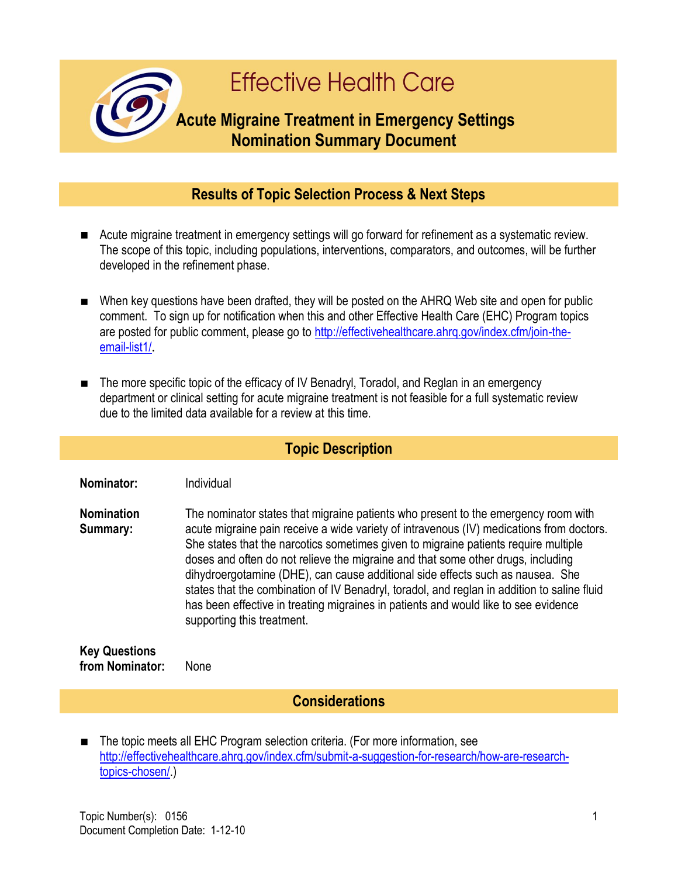

## **Results of Topic Selection Process & Next Steps**

- Acute migraine treatment in emergency settings will go forward for refinement as a systematic review. The scope of this topic, including populations, interventions, comparators, and outcomes, will be further developed in the refinement phase.
- When key questions have been drafted, they will be posted on the AHRQ Web site and open for public comment. To sign up for notification when this and other Effective Health Care (EHC) Program topics are posted for public comment, please go to http://effectivehealthcare.ahrg.gov/index.cfm/join-the[email-list1/](http://effectivehealthcare.ahrq.gov/index.cfm/join-the-email-list1/).
- The more specific topic of the efficacy of IV Benadryl, Toradol, and Reglan in an emergency department or clinical setting for acute migraine treatment is not feasible for a full systematic review due to the limited data available for a review at this time.

## **Topic Description**

**Nominator:** Individual

**Nomination Summary:** The nominator states that migraine patients who present to the emergency room with acute migraine pain receive a wide variety of intravenous (IV) medications from doctors. She states that the narcotics sometimes given to migraine patients require multiple doses and often do not relieve the migraine and that some other drugs, including dihydroergotamine (DHE), can cause additional side effects such as nausea. She states that the combination of IV Benadryl, toradol, and reglan in addition to saline fluid has been effective in treating migraines in patients and would like to see evidence supporting this treatment.

**Key Questions from Nominator:** None

**Considerations**

■ The topic meets all EHC Program selection criteria. (For more information, see [http://effectivehealthcare.ahrq.gov/index.cfm/submit-a-suggestion-for-research/how-are-research](http://effectivehealthcare.ahrq.gov/index.cfm/submit-a-suggestion-for-research/how-are-research-topics-chosen/)[topics-chosen/.](http://effectivehealthcare.ahrq.gov/index.cfm/submit-a-suggestion-for-research/how-are-research-topics-chosen/))